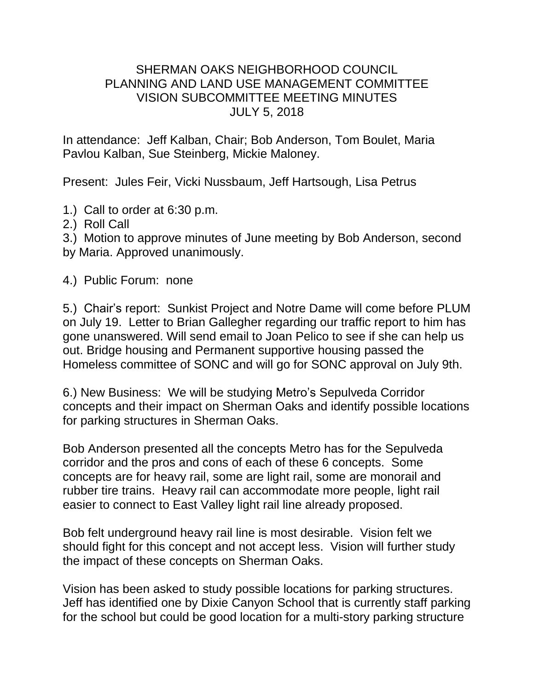## SHERMAN OAKS NEIGHBORHOOD COUNCIL PLANNING AND LAND USE MANAGEMENT COMMITTEE VISION SUBCOMMITTEE MEETING MINUTES JULY 5, 2018

In attendance: Jeff Kalban, Chair; Bob Anderson, Tom Boulet, Maria Pavlou Kalban, Sue Steinberg, Mickie Maloney.

Present: Jules Feir, Vicki Nussbaum, Jeff Hartsough, Lisa Petrus

- 1.) Call to order at 6:30 p.m.
- 2.) Roll Call

3.) Motion to approve minutes of June meeting by Bob Anderson, second by Maria. Approved unanimously.

4.) Public Forum: none

5.) Chair's report: Sunkist Project and Notre Dame will come before PLUM on July 19. Letter to Brian Gallegher regarding our traffic report to him has gone unanswered. Will send email to Joan Pelico to see if she can help us out. Bridge housing and Permanent supportive housing passed the Homeless committee of SONC and will go for SONC approval on July 9th.

6.) New Business: We will be studying Metro's Sepulveda Corridor concepts and their impact on Sherman Oaks and identify possible locations for parking structures in Sherman Oaks.

Bob Anderson presented all the concepts Metro has for the Sepulveda corridor and the pros and cons of each of these 6 concepts. Some concepts are for heavy rail, some are light rail, some are monorail and rubber tire trains. Heavy rail can accommodate more people, light rail easier to connect to East Valley light rail line already proposed.

Bob felt underground heavy rail line is most desirable. Vision felt we should fight for this concept and not accept less. Vision will further study the impact of these concepts on Sherman Oaks.

Vision has been asked to study possible locations for parking structures. Jeff has identified one by Dixie Canyon School that is currently staff parking for the school but could be good location for a multi-story parking structure